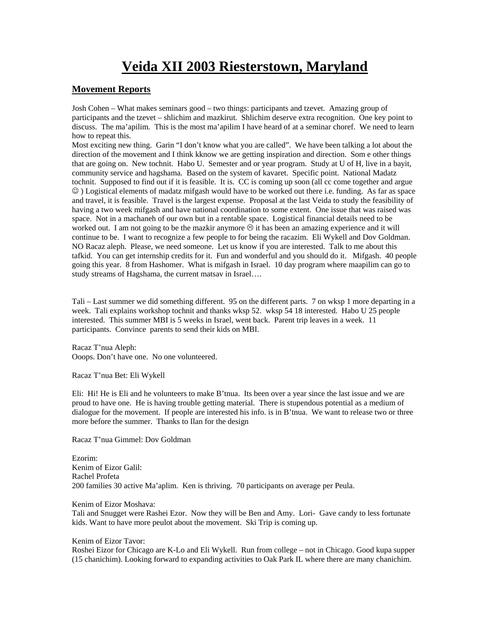# **Veida XII 2003 Riesterstown, Maryland**

## **Movement Reports**

Josh Cohen – What makes seminars good – two things: participants and tzevet. Amazing group of participants and the tzevet – shlichim and mazkirut. Shlichim deserve extra recognition. One key point to discuss. The ma'apilim. This is the most ma'apilim I have heard of at a seminar choref. We need to learn how to repeat this.

Most exciting new thing. Garin "I don't know what you are called". We have been talking a lot about the direction of the movement and I think kknow we are getting inspiration and direction. Som e other things that are going on. New tochnit. Habo U. Semester and or year program. Study at U of H, live in a bayit, community service and hagshama. Based on the system of kavaret. Specific point. National Madatz tochnit. Supposed to find out if it is feasible. It is. CC is coming up soon (all cc come together and argue ☺ ) Logistical elements of madatz mifgash would have to be worked out there i.e. funding. As far as space and travel, it is feasible. Travel is the largest expense. Proposal at the last Veida to study the feasibility of having a two week mifgash and have national coordination to some extent. One issue that was raised was space. Not in a machaneh of our own but in a rentable space. Logistical financial details need to be worked out. I am not going to be the mazkir anymore  $\odot$  it has been an amazing experience and it will continue to be. I want to recognize a few people to for being the racazim. Eli Wykell and Dov Goldman. NO Racaz aleph. Please, we need someone. Let us know if you are interested. Talk to me about this tafkid. You can get internship credits for it. Fun and wonderful and you should do it. Mifgash. 40 people going this year. 8 from Hashomer. What is mifgash in Israel. 10 day program where maapilim can go to study streams of Hagshama, the current matsav in Israel….

Tali – Last summer we did something different. 95 on the different parts. 7 on wksp 1 more departing in a week. Tali explains workshop tochnit and thanks wksp 52. wksp 54 18 interested. Habo U 25 people interested. This summer MBI is 5 weeks in Israel, went back. Parent trip leaves in a week. 11 participants. Convince parents to send their kids on MBI.

Racaz T'nua Aleph: Ooops. Don't have one. No one volunteered.

Racaz T'nua Bet: Eli Wykell

Eli: Hi! He is Eli and he volunteers to make B'tnua. Its been over a year since the last issue and we are proud to have one. He is having trouble getting material. There is stupendous potential as a medium of dialogue for the movement. If people are interested his info. is in B'tnua. We want to release two or three more before the summer. Thanks to Ilan for the design

Racaz T'nua Gimmel: Dov Goldman

Ezorim: Kenim of Eizor Galil: Rachel Profeta 200 families 30 active Ma'aplim. Ken is thriving. 70 participants on average per Peula.

Kenim of Eizor Moshava:

Tali and Snugget were Rashei Ezor. Now they will be Ben and Amy. Lori- Gave candy to less fortunate kids. Want to have more peulot about the movement. Ski Trip is coming up.

Kenim of Eizor Tavor:

Roshei Eizor for Chicago are K-Lo and Eli Wykell. Run from college – not in Chicago. Good kupa supper (15 chanichim). Looking forward to expanding activities to Oak Park IL where there are many chanichim.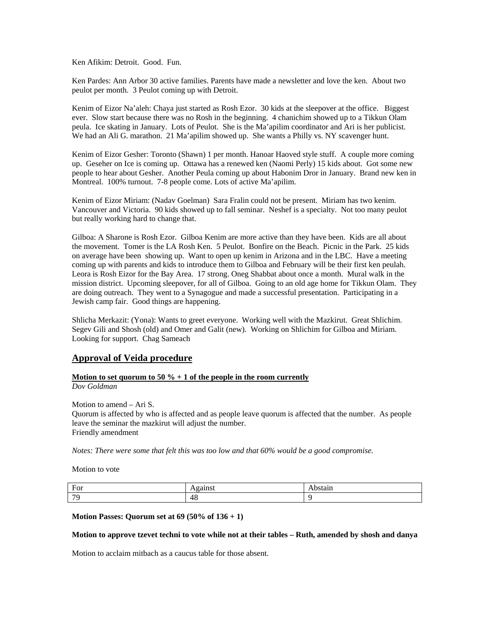Ken Afikim: Detroit. Good. Fun.

Ken Pardes: Ann Arbor 30 active families. Parents have made a newsletter and love the ken. About two peulot per month. 3 Peulot coming up with Detroit.

Kenim of Eizor Na'aleh: Chaya just started as Rosh Ezor. 30 kids at the sleepover at the office. Biggest ever. Slow start because there was no Rosh in the beginning. 4 chanichim showed up to a Tikkun Olam peula. Ice skating in January. Lots of Peulot. She is the Ma'apilim coordinator and Ari is her publicist. We had an Ali G. marathon. 21 Ma'apilim showed up. She wants a Philly vs. NY scavenger hunt.

Kenim of Eizor Gesher: Toronto (Shawn) 1 per month. Hanoar Haoved style stuff. A couple more coming up. Geseher on Ice is coming up. Ottawa has a renewed ken (Naomi Perly) 15 kids about. Got some new people to hear about Gesher. Another Peula coming up about Habonim Dror in January. Brand new ken in Montreal. 100% turnout. 7-8 people come. Lots of active Ma'apilim.

Kenim of Eizor Miriam: (Nadav Goelman) Sara Fralin could not be present. Miriam has two kenim. Vancouver and Victoria. 90 kids showed up to fall seminar. Neshef is a specialty. Not too many peulot but really working hard to change that.

Gilboa: A Sharone is Rosh Ezor. Gilboa Kenim are more active than they have been. Kids are all about the movement. Tomer is the LA Rosh Ken. 5 Peulot. Bonfire on the Beach. Picnic in the Park. 25 kids on average have been showing up. Want to open up kenim in Arizona and in the LBC. Have a meeting coming up with parents and kids to introduce them to Gilboa and February will be their first ken peulah. Leora is Rosh Eizor for the Bay Area. 17 strong. Oneg Shabbat about once a month. Mural walk in the mission district. Upcoming sleepover, for all of Gilboa. Going to an old age home for Tikkun Olam. They are doing outreach. They went to a Synagogue and made a successful presentation. Participating in a Jewish camp fair. Good things are happening.

Shlicha Merkazit: (Yona): Wants to greet everyone. Working well with the Mazkirut. Great Shlichim. Segev Gili and Shosh (old) and Omer and Galit (new). Working on Shlichim for Gilboa and Miriam. Looking for support. Chag Sameach

## **Approval of Veida procedure**

#### **Motion to set quorum to 50 % + 1 of the people in the room currently**

*Dov Goldman* 

Motion to amend – Ari S. Quorum is affected by who is affected and as people leave quorum is affected that the number. As people leave the seminar the mazkirut will adjust the number. Friendly amendment

*Notes: There were some that felt this was too low and that 60% would be a good compromise.*

Motion to vote

| $\mathbf{r}$<br>$\overline{\phantom{a}}$<br>T OT | .<br>--<br><br>. |  |
|--------------------------------------------------|------------------|--|
| $\overline{\phantom{a}}$                         | 48               |  |

#### **Motion Passes: Quorum set at 69 (50% of 136 + 1)**

#### **Motion to approve tzevet techni to vote while not at their tables – Ruth, amended by shosh and danya**

Motion to acclaim mitbach as a caucus table for those absent.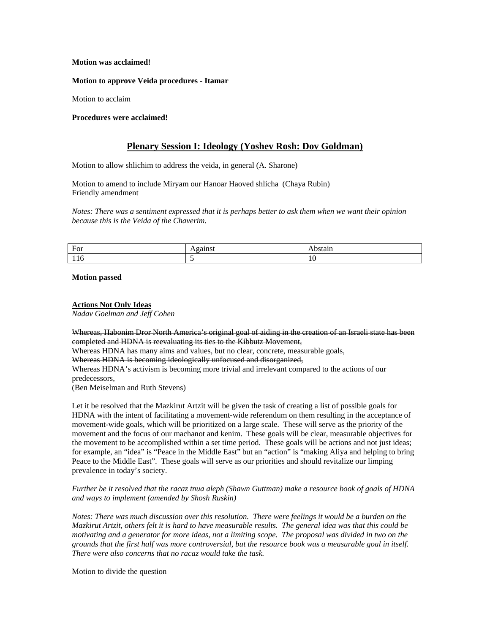#### **Motion was acclaimed!**

#### **Motion to approve Veida procedures - Itamar**

Motion to acclaim

#### **Procedures were acclaimed!**

## **Plenary Session I: Ideology (Yoshev Rosh: Dov Goldman)**

Motion to allow shlichim to address the veida, in general (A. Sharone)

Motion to amend to include Miryam our Hanoar Haoved shlicha (Chaya Rubin) Friendly amendment

*Notes: There was a sentiment expressed that it is perhaps better to ask them when we want their opinion because this is the Veida of the Chaverim.*

| $\Gamma_{\alpha\alpha}$<br>E1<br>T OT | --<br>. |     |
|---------------------------------------|---------|-----|
| .                                     |         | 1 V |

#### **Motion passed**

#### **Actions Not Only Ideas**

*Nadav Goelman and Jeff Cohen* 

Whereas, Habonim Dror North America's original goal of aiding in the creation of an Israeli state has been completed and HDNA is reevaluating its ties to the Kibbutz Movement,

Whereas HDNA has many aims and values, but no clear, concrete, measurable goals,

Whereas HDNA is becoming ideologically unfocused and disorganized,

Whereas HDNA's activism is becoming more trivial and irrelevant compared to the actions of our

predecessors,

(Ben Meiselman and Ruth Stevens)

Let it be resolved that the Mazkirut Artzit will be given the task of creating a list of possible goals for HDNA with the intent of facilitating a movement-wide referendum on them resulting in the acceptance of movement-wide goals, which will be prioritized on a large scale. These will serve as the priority of the movement and the focus of our machanot and kenim. These goals will be clear, measurable objectives for the movement to be accomplished within a set time period. These goals will be actions and not just ideas; for example, an "idea" is "Peace in the Middle East" but an "action" is "making Aliya and helping to bring Peace to the Middle East". These goals will serve as our priorities and should revitalize our limping prevalence in today's society.

*Further be it resolved that the racaz tnua aleph (Shawn Guttman) make a resource book of goals of HDNA and ways to implement (amended by Shosh Ruskin)* 

*Notes: There was much discussion over this resolution. There were feelings it would be a burden on the Mazkirut Artzit, others felt it is hard to have measurable results. The general idea was that this could be motivating and a generator for more ideas, not a limiting scope. The proposal was divided in two on the grounds that the first half was more controversial, but the resource book was a measurable goal in itself. There were also concerns that no racaz would take the task.* 

Motion to divide the question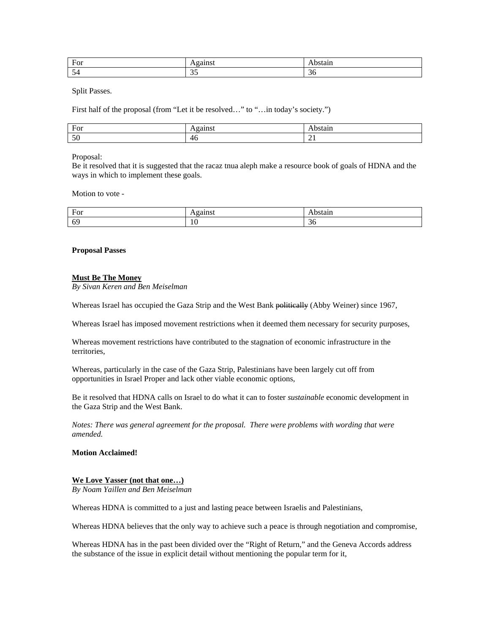| ┳<br>For   | --- --<br>11500    | "Mall. |
|------------|--------------------|--------|
| . .<br>. . | $\sim$ $\sim$<br>ັ | - 20   |

Split Passes.

First half of the proposal (from "Let it be resolved..." to "...in today's society.")

| $E_0r$<br>T OT |    | an.<br> |
|----------------|----|---------|
| $\sim$ $\sim$  | 40 | $\sim$  |

Proposal:

Be it resolved that it is suggested that the racaz tnua aleph make a resource book of goals of HDNA and the ways in which to implement these goals.

Motion to vote -

| $\mathbf$<br>$\overline{\phantom{a}}$<br>-<br>T OT |     | .<br><br>. |
|----------------------------------------------------|-----|------------|
| $\sim$<br>-65                                      | 1 U | JU.        |

## **Proposal Passes**

## **Must Be The Money**

*By Sivan Keren and Ben Meiselman* 

Whereas Israel has occupied the Gaza Strip and the West Bank politically (Abby Weiner) since 1967,

Whereas Israel has imposed movement restrictions when it deemed them necessary for security purposes,

Whereas movement restrictions have contributed to the stagnation of economic infrastructure in the territories,

Whereas, particularly in the case of the Gaza Strip, Palestinians have been largely cut off from opportunities in Israel Proper and lack other viable economic options,

Be it resolved that HDNA calls on Israel to do what it can to foster *sustainable* economic development in the Gaza Strip and the West Bank.

*Notes: There was general agreement for the proposal. There were problems with wording that were amended.* 

**Motion Acclaimed!** 

## **We Love Yasser (not that one…)**

*By Noam Yaillen and Ben Meiselman* 

Whereas HDNA is committed to a just and lasting peace between Israelis and Palestinians,

Whereas HDNA believes that the only way to achieve such a peace is through negotiation and compromise,

Whereas HDNA has in the past been divided over the "Right of Return," and the Geneva Accords address the substance of the issue in explicit detail without mentioning the popular term for it,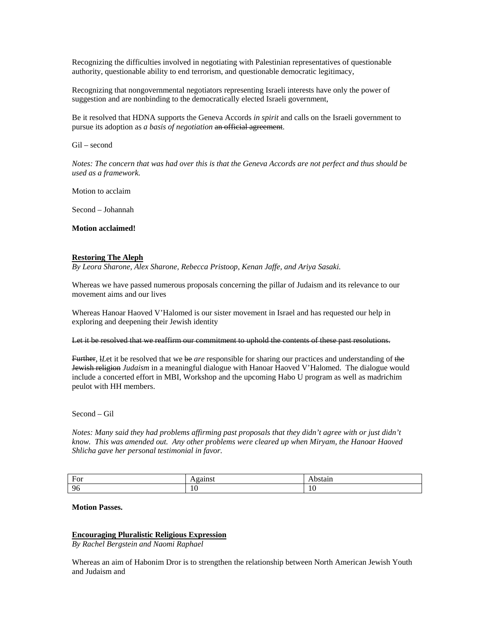Recognizing the difficulties involved in negotiating with Palestinian representatives of questionable authority, questionable ability to end terrorism, and questionable democratic legitimacy,

Recognizing that nongovernmental negotiators representing Israeli interests have only the power of suggestion and are nonbinding to the democratically elected Israeli government,

Be it resolved that HDNA supports the Geneva Accords *in spirit* and calls on the Israeli government to pursue its adoption as *a basis of negotiation* an official agreement.

Gil – second

*Notes: The concern that was had over this is that the Geneva Accords are not perfect and thus should be used as a framework.* 

Motion to acclaim

Second – Johannah

**Motion acclaimed!** 

#### **Restoring The Aleph**

*By Leora Sharone, Alex Sharone, Rebecca Pristoop, Kenan Jaffe, and Ariya Sasaki.* 

Whereas we have passed numerous proposals concerning the pillar of Judaism and its relevance to our movement aims and our lives

Whereas Hanoar Haoved V'Halomed is our sister movement in Israel and has requested our help in exploring and deepening their Jewish identity

Let it be resolved that we reaffirm our commitment to uphold the contents of these past resolutions.

Further, l*L*et it be resolved that we be *are* responsible for sharing our practices and understanding of the Jewish religion *Judaism* in a meaningful dialogue with Hanoar Haoved V'Halomed. The dialogue would include a concerted effort in MBI, Workshop and the upcoming Habo U program as well as madrichim peulot with HH members.

Second – Gil

*Notes: Many said they had problems affirming past proposals that they didn't agree with or just didn't know. This was amended out. Any other problems were cleared up when Miryam, the Hanoar Haoved Shlicha gave her personal testimonial in favor.* 

| $\mathbf r$<br>$H\Omega r$<br><u>vi</u> | --- -<br>.<br>. | ман<br>--------- |
|-----------------------------------------|-----------------|------------------|
| 06                                      | $\sim$<br>1 V   | 10               |

#### **Motion Passes.**

#### **Encouraging Pluralistic Religious Expression**

*By Rachel Bergstein and Naomi Raphael* 

Whereas an aim of Habonim Dror is to strengthen the relationship between North American Jewish Youth and Judaism and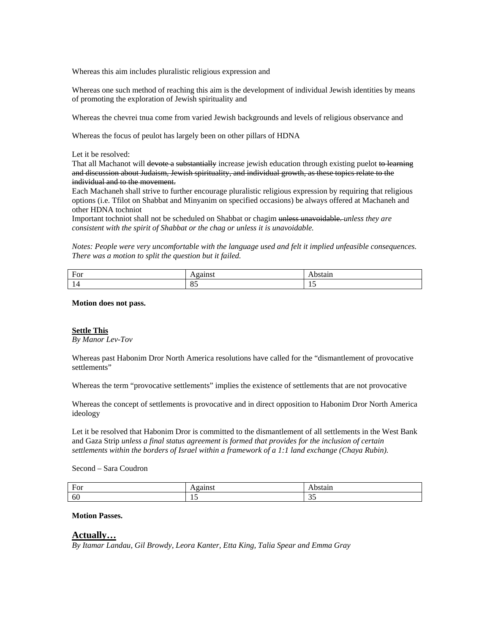Whereas this aim includes pluralistic religious expression and

Whereas one such method of reaching this aim is the development of individual Jewish identities by means of promoting the exploration of Jewish spirituality and

Whereas the chevrei tnua come from varied Jewish backgrounds and levels of religious observance and

Whereas the focus of peulot has largely been on other pillars of HDNA

Let it be resolved:

That all Machanot will devote a substantially increase jewish education through existing puelot to learning and discussion about Judaism, Jewish spirituality, and individual growth, as these topics relate to the individual and to the movement.

Each Machaneh shall strive to further encourage pluralistic religious expression by requiring that religious options (i.e. Tfilot on Shabbat and Minyanim on specified occasions) be always offered at Machaneh and other HDNA tochniot

Important tochniot shall not be scheduled on Shabbat or chagim unless unavoidable. *unless they are consistent with the spirit of Shabbat or the chag or unless it is unavoidable.* 

*Notes: People were very uncomfortable with the language used and felt it implied unfeasible consequences. There was a motion to split the question but it failed.* 

| $E_0r$<br>T OT | .                                    | . ы. а. |
|----------------|--------------------------------------|---------|
|                | $\overline{\phantom{a}}$<br>$\sigma$ | .       |

**Motion does not pass.** 

#### **Settle This**

*By Manor Lev-Tov* 

Whereas past Habonim Dror North America resolutions have called for the "dismantlement of provocative settlements"

Whereas the term "provocative settlements" implies the existence of settlements that are not provocative

Whereas the concept of settlements is provocative and in direct opposition to Habonim Dror North America ideology

Let it be resolved that Habonim Dror is committed to the dismantlement of all settlements in the West Bank and Gaza Strip *unless a final status agreement is formed that provides for the inclusion of certain settlements within the borders of Israel within a framework of a 1:1 land exchange (Chaya Rubin).* 

Second – Sara Coudron

| $\mathbf{r}$<br>$H \cap r$<br>T.OT | .         | am                          |
|------------------------------------|-----------|-----------------------------|
| 60                                 | <b>10</b> | $\sim$ $\sim$<br><u>. .</u> |

**Motion Passes.** 

#### **Actually…**

*By Itamar Landau, Gil Browdy, Leora Kanter, Etta King, Talia Spear and Emma Gray*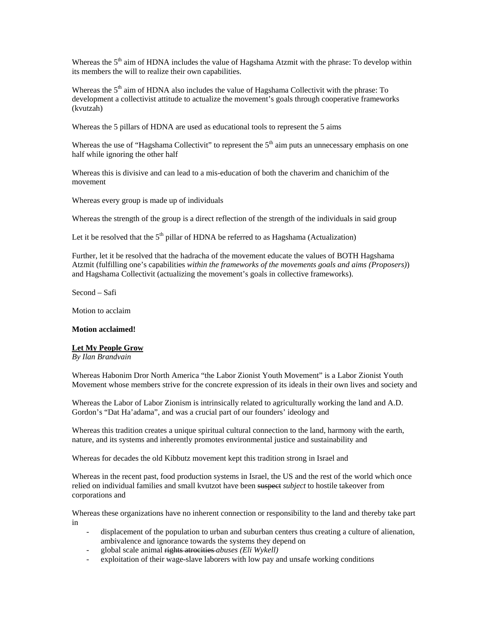Whereas the  $5<sup>th</sup>$  aim of HDNA includes the value of Hagshama Atzmit with the phrase: To develop within its members the will to realize their own capabilities.

Whereas the  $5<sup>th</sup>$  aim of HDNA also includes the value of Hagshama Collectivit with the phrase: To development a collectivist attitude to actualize the movement's goals through cooperative frameworks (kvutzah)

Whereas the 5 pillars of HDNA are used as educational tools to represent the 5 aims

Whereas the use of "Hagshama Collectivit" to represent the 5<sup>th</sup> aim puts an unnecessary emphasis on one half while ignoring the other half

Whereas this is divisive and can lead to a mis-education of both the chaverim and chanichim of the movement

Whereas every group is made up of individuals

Whereas the strength of the group is a direct reflection of the strength of the individuals in said group

Let it be resolved that the  $5<sup>th</sup>$  pillar of HDNA be referred to as Hagshama (Actualization)

Further, let it be resolved that the hadracha of the movement educate the values of BOTH Hagshama Atzmit (fulfilling one's capabilities *within the frameworks of the movements goals and aims (Proposers)*) and Hagshama Collectivit (actualizing the movement's goals in collective frameworks).

Second – Safi

Motion to acclaim

#### **Motion acclaimed!**

## **Let My People Grow**

*By Ilan Brandvain* 

Whereas Habonim Dror North America "the Labor Zionist Youth Movement" is a Labor Zionist Youth Movement whose members strive for the concrete expression of its ideals in their own lives and society and

Whereas the Labor of Labor Zionism is intrinsically related to agriculturally working the land and A.D. Gordon's "Dat Ha'adama", and was a crucial part of our founders' ideology and

Whereas this tradition creates a unique spiritual cultural connection to the land, harmony with the earth, nature, and its systems and inherently promotes environmental justice and sustainability and

Whereas for decades the old Kibbutz movement kept this tradition strong in Israel and

Whereas in the recent past, food production systems in Israel, the US and the rest of the world which once relied on individual families and small kvutzot have been suspect *subject* to hostile takeover from corporations and

Whereas these organizations have no inherent connection or responsibility to the land and thereby take part in

- displacement of the population to urban and suburban centers thus creating a culture of alienation, ambivalence and ignorance towards the systems they depend on
- global scale animal rights atrocities *abuses (Eli Wykell)*
- exploitation of their wage-slave laborers with low pay and unsafe working conditions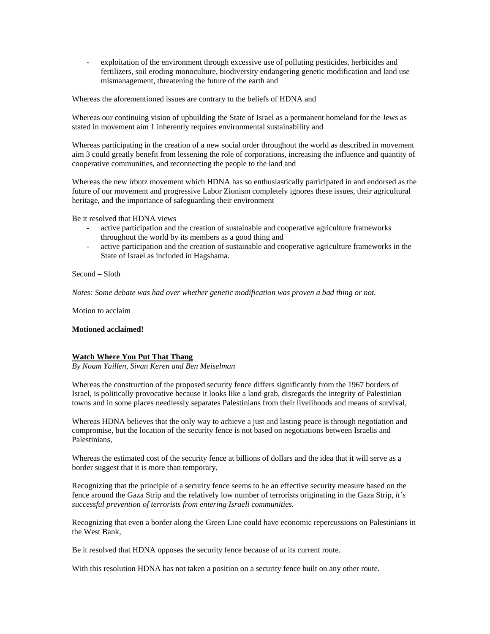- exploitation of the environment through excessive use of polluting pesticides, herbicides and fertilizers, soil eroding monoculture, biodiversity endangering genetic modification and land use mismanagement, threatening the future of the earth and

Whereas the aforementioned issues are contrary to the beliefs of HDNA and

Whereas our continuing vision of upbuilding the State of Israel as a permanent homeland for the Jews as stated in movement aim 1 inherently requires environmental sustainability and

Whereas participating in the creation of a new social order throughout the world as described in movement aim 3 could greatly benefit from lessening the role of corporations, increasing the influence and quantity of cooperative communities, and reconnecting the people to the land and

Whereas the new irbutz movement which HDNA has so enthusiastically participated in and endorsed as the future of our movement and progressive Labor Zionism completely ignores these issues, their agricultural heritage, and the importance of safeguarding their environment

Be it resolved that HDNA views

- active participation and the creation of sustainable and cooperative agriculture frameworks throughout the world by its members as a good thing and
- active participation and the creation of sustainable and cooperative agriculture frameworks in the State of Israel as included in Hagshama.

Second – Sloth

*Notes: Some debate was had over whether genetic modification was proven a bad thing or not.* 

Motion to acclaim

#### **Motioned acclaimed!**

#### **Watch Where You Put That Thang**

*By Noam Yaillen, Sivan Keren and Ben Meiselman* 

Whereas the construction of the proposed security fence differs significantly from the 1967 borders of Israel, is politically provocative because it looks like a land grab, disregards the integrity of Palestinian towns and in some places needlessly separates Palestinians from their livelihoods and means of survival,

Whereas HDNA believes that the only way to achieve a just and lasting peace is through negotiation and compromise, but the location of the security fence is not based on negotiations between Israelis and Palestinians,

Whereas the estimated cost of the security fence at billions of dollars and the idea that it will serve as a border suggest that it is more than temporary,

Recognizing that the principle of a security fence seems to be an effective security measure based on the fence around the Gaza Strip and the relatively low number of terrorists originating in the Gaza Strip, *it's successful prevention of terrorists from entering Israeli communities.* 

Recognizing that even a border along the Green Line could have economic repercussions on Palestinians in the West Bank,

Be it resolved that HDNA opposes the security fence because of *at* its current route.

With this resolution HDNA has not taken a position on a security fence built on any other route.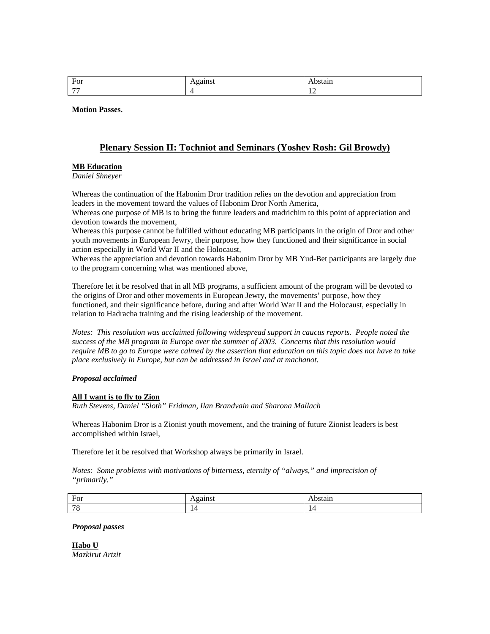| $\Gamma_{\alpha\alpha}$<br>J. |     |
|-------------------------------|-----|
| $\overline{\phantom{a}}$      | . . |

**Motion Passes.** 

# **Plenary Session II: Tochniot and Seminars (Yoshev Rosh: Gil Browdy)**

## **MB Education**

*Daniel Shneyer* 

Whereas the continuation of the Habonim Dror tradition relies on the devotion and appreciation from leaders in the movement toward the values of Habonim Dror North America,

Whereas one purpose of MB is to bring the future leaders and madrichim to this point of appreciation and devotion towards the movement,

Whereas this purpose cannot be fulfilled without educating MB participants in the origin of Dror and other youth movements in European Jewry, their purpose, how they functioned and their significance in social action especially in World War II and the Holocaust,

Whereas the appreciation and devotion towards Habonim Dror by MB Yud-Bet participants are largely due to the program concerning what was mentioned above,

Therefore let it be resolved that in all MB programs, a sufficient amount of the program will be devoted to the origins of Dror and other movements in European Jewry, the movements' purpose, how they functioned, and their significance before, during and after World War II and the Holocaust, especially in relation to Hadracha training and the rising leadership of the movement.

*Notes: This resolution was acclaimed following widespread support in caucus reports. People noted the success of the MB program in Europe over the summer of 2003. Concerns that this resolution would require MB to go to Europe were calmed by the assertion that education on this topic does not have to take place exclusively in Europe, but can be addressed in Israel and at machanot.* 

## *Proposal acclaimed*

#### **All I want is to fly to Zion**

*Ruth Stevens, Daniel "Sloth" Fridman, Ilan Brandvain and Sharona Mallach* 

Whereas Habonim Dror is a Zionist youth movement, and the training of future Zionist leaders is best accomplished within Israel,

Therefore let it be resolved that Workshop always be primarily in Israel.

*Notes: Some problems with motivations of bitterness, eternity of "always," and imprecision of "primarily."* 

| $\sim$<br>. .<br>$\mathbf{u}$<br>$\overline{\phantom{a}}$ |     |        |
|-----------------------------------------------------------|-----|--------|
|                                                           | . . |        |
| $\overline{\phantom{0}}$                                  |     | $\sim$ |

#### *Proposal passes*

**Habo U** *Mazkirut Artzit*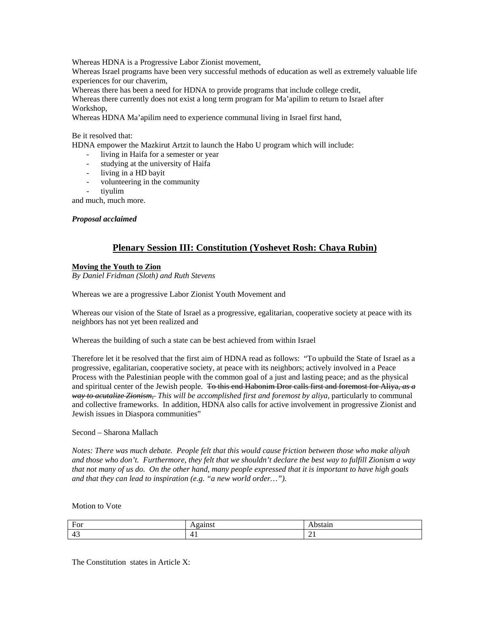Whereas HDNA is a Progressive Labor Zionist movement,

Whereas Israel programs have been very successful methods of education as well as extremely valuable life experiences for our chaverim,

Whereas there has been a need for HDNA to provide programs that include college credit,

Whereas there currently does not exist a long term program for Ma'apilim to return to Israel after Workshop,

Whereas HDNA Ma'apilim need to experience communal living in Israel first hand,

## Be it resolved that:

HDNA empower the Mazkirut Artzit to launch the Habo U program which will include:

- living in Haifa for a semester or year
- studying at the university of Haifa
- living in a HD bayit
- volunteering in the community
- tiyulim

and much, much more.

*Proposal acclaimed* 

# **Plenary Session III: Constitution (Yoshevet Rosh: Chaya Rubin)**

## **Moving the Youth to Zion**

*By Daniel Fridman (Sloth) and Ruth Stevens* 

Whereas we are a progressive Labor Zionist Youth Movement and

Whereas our vision of the State of Israel as a progressive, egalitarian, cooperative society at peace with its neighbors has not yet been realized and

Whereas the building of such a state can be best achieved from within Israel

Therefore let it be resolved that the first aim of HDNA read as follows: "To upbuild the State of Israel as a progressive, egalitarian, cooperative society, at peace with its neighbors; actively involved in a Peace Process with the Palestinian people with the common goal of a just and lasting peace; and as the physical and spiritual center of the Jewish people. To this end Habonim Dror calls first and foremost for Aliya, *as a way to acutalize Zionism, This will be accomplished first and foremost by aliya, particularly to communal* and collective frameworks. In addition, HDNA also calls for active involvement in progressive Zionist and Jewish issues in Diaspora communities"

#### Second – Sharona Mallach

*Notes: There was much debate. People felt that this would cause friction between those who make aliyah and those who don't. Furthermore, they felt that we shouldn't declare the best way to fulfill Zionism a way that not many of us do. On the other hand, many people expressed that it is important to have high goals and that they can lead to inspiration (e.g. "a new world order…").* 

## Motion to Vote

| $-$ Hor<br>$\mathbf{1} \cdot \mathbf{O}$ | --------<br>,,,,, | <b>MATA4M</b><br>stail |
|------------------------------------------|-------------------|------------------------|
| . .<br>∸<br>. .                          | .<br>_<br>. .     | --                     |

The Constitution states in Article X: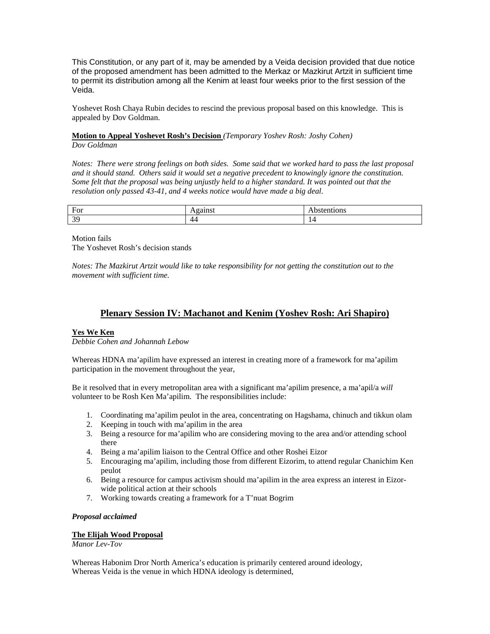This Constitution, or any part of it, may be amended by a Veida decision provided that due notice of the proposed amendment has been admitted to the Merkaz or Mazkirut Artzit in sufficient time to permit its distribution among all the Kenim at least four weeks prior to the first session of the Veida.

Yoshevet Rosh Chaya Rubin decides to rescind the previous proposal based on this knowledge. This is appealed by Dov Goldman.

## **Motion to Appeal Yoshevet Rosh's Decision** *(Temporary Yoshev Rosh: Joshy Cohen) Dov Goldman*

*Notes: There were strong feelings on both sides. Some said that we worked hard to pass the last proposal and it should stand. Others said it would set a negative precedent to knowingly ignore the constitution. Some felt that the proposal was being unjustly held to a higher standard. It was pointed out that the resolution only passed 43-41, and 4 weeks notice would have made a big deal.* 

| For           | --- -<br>.<br>. . | .          |
|---------------|-------------------|------------|
| $\Omega$<br>ຼ | 44                | . .<br>. . |

Motion fails The Yoshevet Rosh's decision stands

*Notes: The Mazkirut Artzit would like to take responsibility for not getting the constitution out to the movement with sufficient time.* 

# **Plenary Session IV: Machanot and Kenim (Yoshev Rosh: Ari Shapiro)**

## **Yes We Ken**

*Debbie Cohen and Johannah Lebow* 

Whereas HDNA ma'apilim have expressed an interest in creating more of a framework for ma'apilim participation in the movement throughout the year,

Be it resolved that in every metropolitan area with a significant ma'apilim presence, a ma'apil/a *will*  volunteer to be Rosh Ken Ma'apilim. The responsibilities include:

- 1. Coordinating ma'apilim peulot in the area, concentrating on Hagshama, chinuch and tikkun olam
- 2. Keeping in touch with ma'apilim in the area
- 3. Being a resource for ma'apilim who are considering moving to the area and/or attending school there
- 4. Being a ma'apilim liaison to the Central Office and other Roshei Eizor
- 5. Encouraging ma'apilim, including those from different Eizorim, to attend regular Chanichim Ken peulot
- 6. Being a resource for campus activism should ma'apilim in the area express an interest in Eizorwide political action at their schools
- 7. Working towards creating a framework for a T'nuat Bogrim

## *Proposal acclaimed*

## **The Elijah Wood Proposal**

*Manor Lev-Tov* 

Whereas Habonim Dror North America's education is primarily centered around ideology, Whereas Veida is the venue in which HDNA ideology is determined,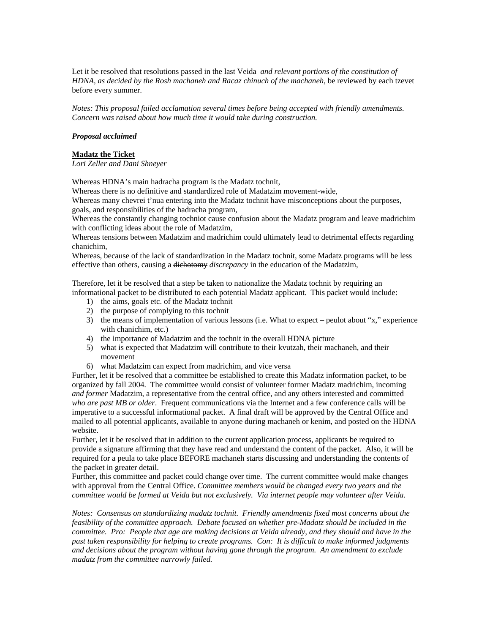Let it be resolved that resolutions passed in the last Veida *and relevant portions of the constitution of HDNA, as decided by the Rosh machaneh and Racaz chinuch of the machaneh,* be reviewed by each tzevet before every summer.

*Notes: This proposal failed acclamation several times before being accepted with friendly amendments. Concern was raised about how much time it would take during construction.* 

## *Proposal acclaimed*

#### **Madatz the Ticket**

*Lori Zeller and Dani Shneyer* 

Whereas HDNA's main hadracha program is the Madatz tochnit,

Whereas there is no definitive and standardized role of Madatzim movement-wide,

Whereas many chevrei t'nua entering into the Madatz tochnit have misconceptions about the purposes, goals, and responsibilities of the hadracha program,

Whereas the constantly changing tochniot cause confusion about the Madatz program and leave madrichim with conflicting ideas about the role of Madatzim,

Whereas tensions between Madatzim and madrichim could ultimately lead to detrimental effects regarding chanichim,

Whereas, because of the lack of standardization in the Madatz tochnit, some Madatz programs will be less effective than others, causing a dichotomy *discrepancy* in the education of the Madatzim,

Therefore, let it be resolved that a step be taken to nationalize the Madatz tochnit by requiring an informational packet to be distributed to each potential Madatz applicant. This packet would include:

- 1) the aims, goals etc. of the Madatz tochnit
- 2) the purpose of complying to this tochnit
- 3) the means of implementation of various lessons (i.e. What to expect peulot about "x," experience with chanichim, etc.)
- 4) the importance of Madatzim and the tochnit in the overall HDNA picture
- 5) what is expected that Madatzim will contribute to their kvutzah, their machaneh, and their movement
- 6) what Madatzim can expect from madrichim, and vice versa

Further, let it be resolved that a committee be established to create this Madatz information packet, to be organized by fall 2004. The committee would consist of volunteer former Madatz madrichim, incoming *and former* Madatzim, a representative from the central office, and any others interested and committed *who are past MB or older*. Frequent communications via the Internet and a few conference calls will be imperative to a successful informational packet. A final draft will be approved by the Central Office and mailed to all potential applicants, available to anyone during machaneh or kenim, and posted on the HDNA website.

Further, let it be resolved that in addition to the current application process, applicants be required to provide a signature affirming that they have read and understand the content of the packet. Also, it will be required for a peula to take place BEFORE machaneh starts discussing and understanding the contents of the packet in greater detail.

Further, this committee and packet could change over time. The current committee would make changes with approval from the Central Office. *Committee members would be changed every two years and the committee would be formed at Veida but not exclusively. Via internet people may volunteer after Veida.* 

*Notes: Consensus on standardizing madatz tochnit. Friendly amendments fixed most concerns about the feasibility of the committee approach. Debate focused on whether pre-Madatz should be included in the committee. Pro: People that age are making decisions at Veida already, and they should and have in the past taken responsibility for helping to create programs. Con: It is difficult to make informed judgments and decisions about the program without having gone through the program. An amendment to exclude madatz from the committee narrowly failed.*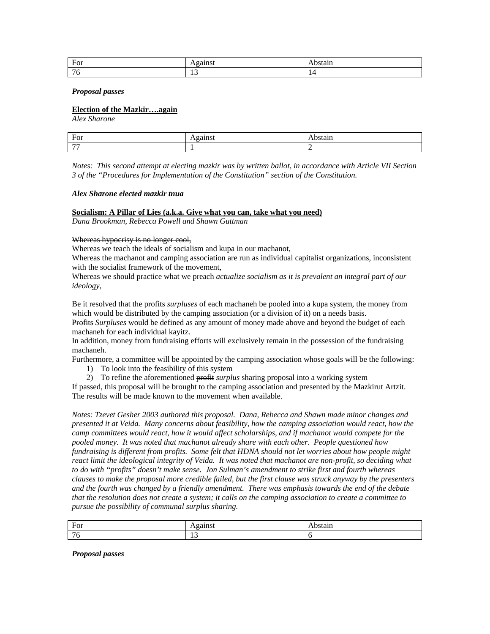| For                   | .<br>. | .        |
|-----------------------|--------|----------|
| $\overline{ }$<br>. . | . .    | -<br>. . |

#### *Proposal passes*

#### **Election of the Mazkir….again**

*Alex Sharone* 

| $\mathbf$ $\mathbf$<br>.<br>$\mathbf{u}$ |  |
|------------------------------------------|--|
| $-$                                      |  |

*Notes: This second attempt at electing mazkir was by written ballot, in accordance with Article VII Section 3 of the "Procedures for Implementation of the Constitution" section of the Constitution.* 

#### *Alex Sharone elected mazkir tnua*

## **Socialism: A Pillar of Lies (a.k.a. Give what you can, take what you need)**

*Dana Brookman, Rebecca Powell and Shawn Guttman*

#### Whereas hypocrisy is no longer cool,

Whereas we teach the ideals of socialism and kupa in our machanot,

Whereas the machanot and camping association are run as individual capitalist organizations, inconsistent with the socialist framework of the movement,

Whereas we should practice what we preach *actualize socialism as it is prevalent an integral part of our ideology*,

Be it resolved that the profits *surpluses* of each machaneh be pooled into a kupa system, the money from which would be distributed by the camping association (or a division of it) on a needs basis.

Profits *Surpluses* would be defined as any amount of money made above and beyond the budget of each machaneh for each individual kayitz.

In addition, money from fundraising efforts will exclusively remain in the possession of the fundraising machaneh.

Furthermore, a committee will be appointed by the camping association whose goals will be the following:

1) To look into the feasibility of this system

2) To refine the aforementioned profit *surplus* sharing proposal into a working system

If passed, this proposal will be brought to the camping association and presented by the Mazkirut Artzit. The results will be made known to the movement when available.

*Notes: Tzevet Gesher 2003 authored this proposal. Dana, Rebecca and Shawn made minor changes and presented it at Veida. Many concerns about feasibility, how the camping association would react, how the camp committees would react, how it would affect scholarships, and if machanot would compete for the pooled money. It was noted that machanot already share with each other. People questioned how fundraising is different from profits. Some felt that HDNA should not let worries about how people might react limit the ideological integrity of Veida. It was noted that machanot are non-profit, so deciding what to do with "profits" doesn't make sense. Jon Sulman's amendment to strike first and fourth whereas clauses to make the proposal more credible failed, but the first clause was struck anyway by the presenters and the fourth was changed by a friendly amendment. There was emphasis towards the end of the debate that the resolution does not create a system; it calls on the camping association to create a committee to pursue the possibility of communal surplus sharing.* 

| $E_0r$<br>T.OT           | .<br>. . | $\mathbf{u}$ |
|--------------------------|----------|--------------|
| $\overline{\phantom{0}}$ | <br>. .  |              |

*Proposal passes*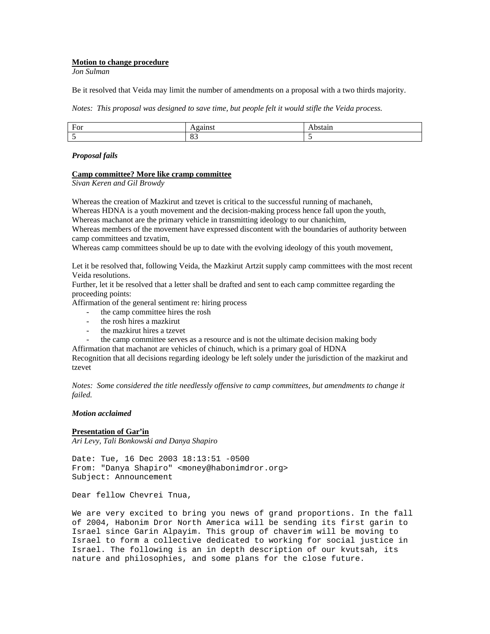## **Motion to change procedure**

*Jon Sulman* 

Be it resolved that Veida may limit the number of amendments on a proposal with a two thirds majority.

*Notes: This proposal was designed to save time, but people felt it would stifle the Veida process.* 

| ь<br>$\overline{\phantom{a}}$<br>ັ |           |  |
|------------------------------------|-----------|--|
|                                    | - -<br>ັບ |  |

#### *Proposal fails*

## **Camp committee? More like cramp committee**

*Sivan Keren and Gil Browdy* 

Whereas the creation of Mazkirut and tzevet is critical to the successful running of machaneh, Whereas HDNA is a youth movement and the decision-making process hence fall upon the youth,

Whereas machanot are the primary vehicle in transmitting ideology to our chanichim,

Whereas members of the movement have expressed discontent with the boundaries of authority between camp committees and tzvatim,

Whereas camp committees should be up to date with the evolving ideology of this youth movement,

Let it be resolved that, following Veida, the Mazkirut Artzit supply camp committees with the most recent Veida resolutions.

Further, let it be resolved that a letter shall be drafted and sent to each camp committee regarding the proceeding points:

Affirmation of the general sentiment re: hiring process

- the camp committee hires the rosh
- the rosh hires a mazkirut
- the mazkirut hires a tzevet
- the camp committee serves as a resource and is not the ultimate decision making body

Affirmation that machanot are vehicles of chinuch, which is a primary goal of HDNA

Recognition that all decisions regarding ideology be left solely under the jurisdiction of the mazkirut and tzevet

*Notes: Some considered the title needlessly offensive to camp committees, but amendments to change it failed.* 

#### *Motion acclaimed*

## **Presentation of Gar'in**

*Ari Levy, Tali Bonkowski and Danya Shapiro* 

Date: Tue, 16 Dec 2003 18:13:51 -0500 From: "Danya Shapiro" <money@habonimdror.org> Subject: Announcement

Dear fellow Chevrei Tnua,

We are very excited to bring you news of grand proportions. In the fall of 2004, Habonim Dror North America will be sending its first garin to Israel since Garin Alpayim. This group of chaverim will be moving to Israel to form a collective dedicated to working for social justice in Israel. The following is an in depth description of our kvutsah, its nature and philosophies, and some plans for the close future.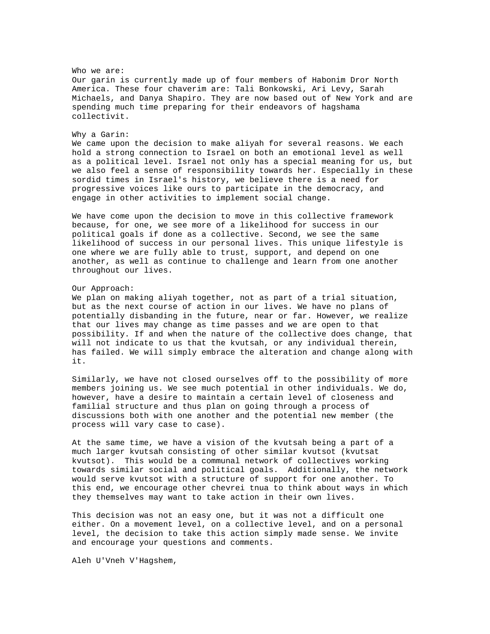Who we are: Our garin is currently made up of four members of Habonim Dror North America. These four chaverim are: Tali Bonkowski, Ari Levy, Sarah Michaels, and Danya Shapiro. They are now based out of New York and are spending much time preparing for their endeavors of hagshama collectivit.

#### Why a Garin:

We came upon the decision to make aliyah for several reasons. We each hold a strong connection to Israel on both an emotional level as well as a political level. Israel not only has a special meaning for us, but we also feel a sense of responsibility towards her. Especially in these sordid times in Israel's history, we believe there is a need for progressive voices like ours to participate in the democracy, and engage in other activities to implement social change.

We have come upon the decision to move in this collective framework because, for one, we see more of a likelihood for success in our political goals if done as a collective. Second, we see the same likelihood of success in our personal lives. This unique lifestyle is one where we are fully able to trust, support, and depend on one another, as well as continue to challenge and learn from one another throughout our lives.

#### Our Approach:

We plan on making aliyah together, not as part of a trial situation, but as the next course of action in our lives. We have no plans of potentially disbanding in the future, near or far. However, we realize that our lives may change as time passes and we are open to that possibility. If and when the nature of the collective does change, that will not indicate to us that the kvutsah, or any individual therein, has failed. We will simply embrace the alteration and change along with it.

Similarly, we have not closed ourselves off to the possibility of more members joining us. We see much potential in other individuals. We do, however, have a desire to maintain a certain level of closeness and familial structure and thus plan on going through a process of discussions both with one another and the potential new member (the process will vary case to case).

At the same time, we have a vision of the kvutsah being a part of a much larger kvutsah consisting of other similar kvutsot (kvutsat kvutsot). This would be a communal network of collectives working towards similar social and political goals. Additionally, the network would serve kvutsot with a structure of support for one another. To this end, we encourage other chevrei tnua to think about ways in which they themselves may want to take action in their own lives.

This decision was not an easy one, but it was not a difficult one either. On a movement level, on a collective level, and on a personal level, the decision to take this action simply made sense. We invite and encourage your questions and comments.

Aleh U'Vneh V'Hagshem,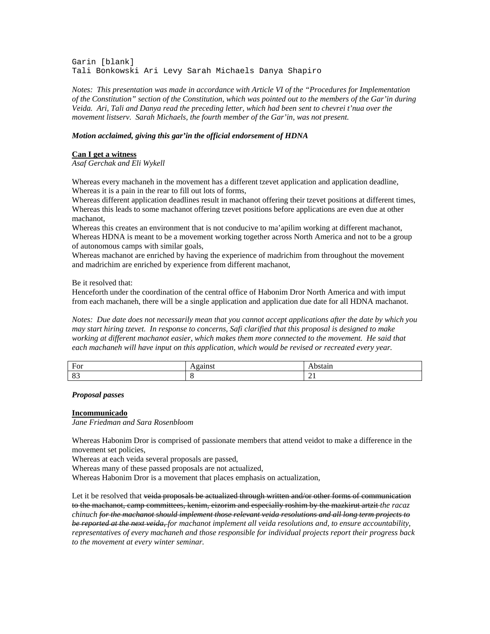Garin [blank] Tali Bonkowski Ari Levy Sarah Michaels Danya Shapiro

*Notes: This presentation was made in accordance with Article VI of the "Procedures for Implementation of the Constitution" section of the Constitution, which was pointed out to the members of the Gar'in during Veida. Ari, Tali and Danya read the preceding letter, which had been sent to chevrei t'nua over the movement listserv. Sarah Michaels, the fourth member of the Gar'in, was not present.* 

## *Motion acclaimed, giving this gar'in the official endorsement of HDNA*

#### **Can I get a witness**

*Asaf Gerchak and Eli Wykell* 

Whereas every machaneh in the movement has a different tzevet application and application deadline, Whereas it is a pain in the rear to fill out lots of forms,

Whereas different application deadlines result in machanot offering their tzevet positions at different times, Whereas this leads to some machanot offering tzevet positions before applications are even due at other machanot,

Whereas this creates an environment that is not conducive to ma'apilim working at different machanot, Whereas HDNA is meant to be a movement working together across North America and not to be a group of autonomous camps with similar goals,

Whereas machanot are enriched by having the experience of madrichim from throughout the movement and madrichim are enriched by experience from different machanot,

Be it resolved that:

Henceforth under the coordination of the central office of Habonim Dror North America and with imput from each machaneh, there will be a single application and application due date for all HDNA machanot.

*Notes: Due date does not necessarily mean that you cannot accept applications after the date by which you may start hiring tzevet. In response to concerns, Safi clarified that this proposal is designed to make working at different machanot easier, which makes them more connected to the movement. He said that each machaneh will have input on this application, which would be revised or recreated every year.* 

| . .<br>ັບ<br>$\sim$ $\sim$ |    |
|----------------------------|----|
| $\Omega$<br>o.             | -- |

*Proposal passes* 

#### **Incommunicado**

*Jane Friedman and Sara Rosenbloom* 

Whereas Habonim Dror is comprised of passionate members that attend veidot to make a difference in the movement set policies,

Whereas at each veida several proposals are passed,

Whereas many of these passed proposals are not actualized,

Whereas Habonim Dror is a movement that places emphasis on actualization,

Let it be resolved that veida proposals be actualized through written and/or other forms of communication to the machanot, camp committees, kenim, eizorim and especially roshim by the mazkirut artzit *the racaz chinuch for the machanot should implement those relevant veida resolutions and all long term projects to be reported at the next veida, for machanot implement all veida resolutions and, to ensure accountability, representatives of every machaneh and those responsible for individual projects report their progress back to the movement at every winter seminar.*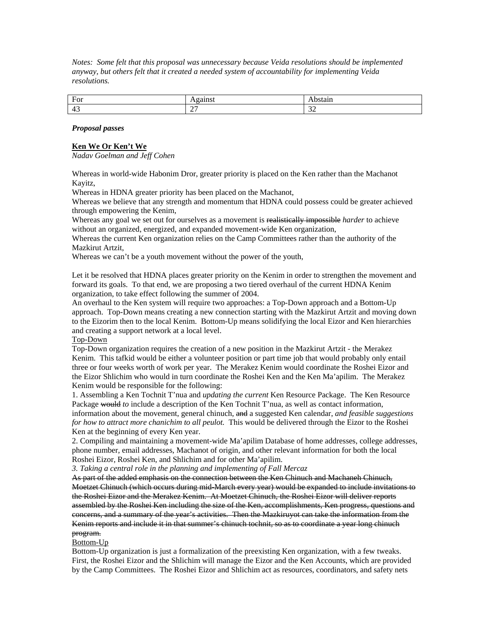*Notes: Some felt that this proposal was unnecessary because Veida resolutions should be implemented anyway, but others felt that it created a needed system of accountability for implementing Veida resolutions.* 

| For                           | .<br>.        | .                                           |
|-------------------------------|---------------|---------------------------------------------|
| . .<br>$\epsilon$<br>∸<br>. . | $\sim$<br>. . | $\sim$<br>-<br>and the contract of the con- |

## *Proposal passes*

## **Ken We Or Ken't We**

*Nadav Goelman and Jeff Cohen* 

Whereas in world-wide Habonim Dror, greater priority is placed on the Ken rather than the Machanot Kayitz,

Whereas in HDNA greater priority has been placed on the Machanot,

Whereas we believe that any strength and momentum that HDNA could possess could be greater achieved through empowering the Kenim,

Whereas any goal we set out for ourselves as a movement is realistically impossible *harder* to achieve without an organized, energized, and expanded movement-wide Ken organization,

Whereas the current Ken organization relies on the Camp Committees rather than the authority of the Mazkirut Artzit,

Whereas we can't be a youth movement without the power of the youth,

Let it be resolved that HDNA places greater priority on the Kenim in order to strengthen the movement and forward its goals. To that end, we are proposing a two tiered overhaul of the current HDNA Kenim organization, to take effect following the summer of 2004.

An overhaul to the Ken system will require two approaches: a Top-Down approach and a Bottom-Up approach. Top-Down means creating a new connection starting with the Mazkirut Artzit and moving down to the Eizorim then to the local Kenim. Bottom-Up means solidifying the local Eizor and Ken hierarchies and creating a support network at a local level.

## Top-Down

Top-Down organization requires the creation of a new position in the Mazkirut Artzit - the Merakez Kenim. This tafkid would be either a volunteer position or part time job that would probably only entail three or four weeks worth of work per year. The Merakez Kenim would coordinate the Roshei Eizor and the Eizor Shlichim who would in turn coordinate the Roshei Ken and the Ken Ma'apilim. The Merakez Kenim would be responsible for the following:

1. Assembling a Ken Tochnit T'nua and *updating the current* Ken Resource Package. The Ken Resource Package would *to* include a description of the Ken Tochnit T'nua, as well as contact information,

information about the movement, general chinuch, and a suggested Ken calendar, *and feasible suggestions for how to attract more chanichim to all peulot.* This would be delivered through the Eizor to the Roshei Ken at the beginning of every Ken year.

2. Compiling and maintaining a movement-wide Ma'apilim Database of home addresses, college addresses, phone number, email addresses, Machanot of origin, and other relevant information for both the local Roshei Eizor, Roshei Ken, and Shlichim and for other Ma'apilim.

*3. Taking a central role in the planning and implementing of Fall Mercaz* 

As part of the added emphasis on the connection between the Ken Chinuch and Machaneh Chinuch, Moetzet Chinuch (which occurs during mid-March every year) would be expanded to include invitations to the Roshei Eizor and the Merakez Kenim. At Moetzet Chinuch, the Roshei Eizor will deliver reports assembled by the Roshei Ken including the size of the Ken, accomplishments, Ken progress, questions and concerns, and a summary of the year's activities. Then the Mazkiruyot can take the information from the Kenim reports and include it in that summer's chinuch tochnit, so as to coordinate a year long chinuch program.

## Bottom-Up

Bottom-Up organization is just a formalization of the preexisting Ken organization, with a few tweaks. First, the Roshei Eizor and the Shlichim will manage the Eizor and the Ken Accounts, which are provided by the Camp Committees. The Roshei Eizor and Shlichim act as resources, coordinators, and safety nets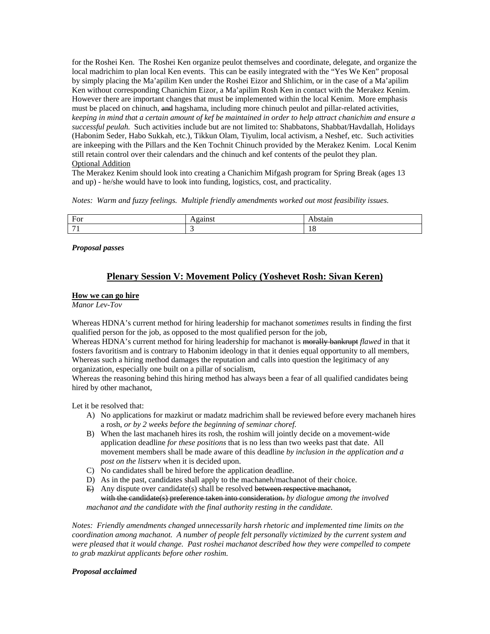for the Roshei Ken. The Roshei Ken organize peulot themselves and coordinate, delegate, and organize the local madrichim to plan local Ken events. This can be easily integrated with the "Yes We Ken" proposal by simply placing the Ma'apilim Ken under the Roshei Eizor and Shlichim, or in the case of a Ma'apilim Ken without corresponding Chanichim Eizor, a Ma'apilim Rosh Ken in contact with the Merakez Kenim. However there are important changes that must be implemented within the local Kenim. More emphasis must be placed on chinuch, and hagshama, including more chinuch peulot and pillar-related activities, *keeping in mind that a certain amount of kef be maintained in order to help attract chanichim and ensure a successful peulah.* Such activities include but are not limited to: Shabbatons, Shabbat/Havdallah, Holidays (Habonim Seder, Habo Sukkah, etc.), Tikkun Olam, Tiyulim, local activism, a Neshef, etc. Such activities are inkeeping with the Pillars and the Ken Tochnit Chinuch provided by the Merakez Kenim. Local Kenim still retain control over their calendars and the chinuch and kef contents of the peulot they plan. Optional Addition

The Merakez Kenim should look into creating a Chanichim Mifgash program for Spring Break (ages 13 and up) - he/she would have to look into funding, logistics, cost, and practicality.

*Notes: Warm and fuzzy feelings. Multiple friendly amendments worked out most feasibility issues.* 

| $\mathbf{r}$<br>Line-<br>- UI | . . |         |
|-------------------------------|-----|---------|
| $\overline{\phantom{0}}$      |     | . L. L. |

*Proposal passes*

# **Plenary Session V: Movement Policy (Yoshevet Rosh: Sivan Keren)**

## **How we can go hire**

*Manor Lev-Tov* 

Whereas HDNA's current method for hiring leadership for machanot *sometimes* results in finding the first qualified person for the job, as opposed to the most qualified person for the job,

Whereas HDNA's current method for hiring leadership for machanot is morally bankrupt *flawed* in that it fosters favoritism and is contrary to Habonim ideology in that it denies equal opportunity to all members, Whereas such a hiring method damages the reputation and calls into question the legitimacy of any organization, especially one built on a pillar of socialism,

Whereas the reasoning behind this hiring method has always been a fear of all qualified candidates being hired by other machanot,

Let it be resolved that:

- A) No applications for mazkirut or madatz madrichim shall be reviewed before every machaneh hires a rosh, *or by 2 weeks before the beginning of seminar choref.*
- B) When the last machaneh hires its rosh, the roshim will jointly decide on a movement-wide application deadline *for these positions* that is no less than two weeks past that date. All movement members shall be made aware of this deadline *by inclusion in the application and a post on the listserv* when it is decided upon.
- C) No candidates shall be hired before the application deadline.
- D) As in the past, candidates shall apply to the machaneh/machanot of their choice.
- E) Any dispute over candidate(s) shall be resolved between respective machanot, with the candidate(s) preference taken into consideration. *by dialogue among the involved machanot and the candidate with the final authority resting in the candidate.*

*Notes: Friendly amendments changed unnecessarily harsh rhetoric and implemented time limits on the coordination among machanot. A number of people felt personally victimized by the current system and were pleased that it would change. Past roshei machanot described how they were compelled to compete to grab mazkirut applicants before other roshim.* 

#### *Proposal acclaimed*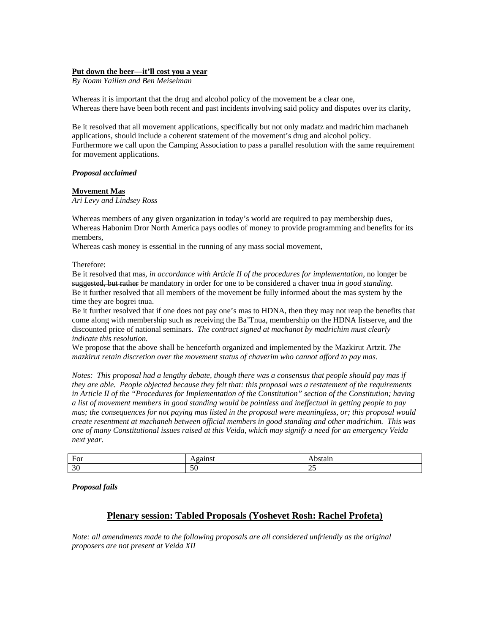#### **Put down the beer—it'll cost you a year**

*By Noam Yaillen and Ben Meiselman* 

Whereas it is important that the drug and alcohol policy of the movement be a clear one, Whereas there have been both recent and past incidents involving said policy and disputes over its clarity,

Be it resolved that all movement applications, specifically but not only madatz and madrichim machaneh applications, should include a coherent statement of the movement's drug and alcohol policy. Furthermore we call upon the Camping Association to pass a parallel resolution with the same requirement for movement applications.

#### *Proposal acclaimed*

#### **Movement Mas**

*Ari Levy and Lindsey Ross* 

Whereas members of any given organization in today's world are required to pay membership dues, Whereas Habonim Dror North America pays oodles of money to provide programming and benefits for its members,

Whereas cash money is essential in the running of any mass social movement,

Therefore:

Be it resolved that mas, *in accordance with Article II of the procedures for implementation*, no longer be suggested, but rather *be* mandatory in order for one to be considered a chaver tnua *in good standing.*  Be it further resolved that all members of the movement be fully informed about the mas system by the time they are bogrei tnua.

Be it further resolved that if one does not pay one's mas to HDNA, then they may not reap the benefits that come along with membership such as receiving the Ba'Tnua, membership on the HDNA listserve, and the discounted price of national seminars. *The contract signed at machanot by madrichim must clearly indicate this resolution.* 

We propose that the above shall be henceforth organized and implemented by the Mazkirut Artzit. *The mazkirut retain discretion over the movement status of chaverim who cannot afford to pay mas.* 

*Notes: This proposal had a lengthy debate, though there was a consensus that people should pay mas if they are able. People objected because they felt that: this proposal was a restatement of the requirements in Article II of the "Procedures for Implementation of the Constitution" section of the Constitution; having a list of movement members in good standing would be pointless and ineffectual in getting people to pay mas; the consequences for not paying mas listed in the proposal were meaningless, or; this proposal would create resentment at machaneh between official members in good standing and other madrichim. This was one of many Constitutional issues raised at this Veida, which may signify a need for an emergency Veida next year.* 

| $\mathbf{r}$<br><b>Hor</b><br>TO. | ---<br>-                   | эшин.<br>.               |
|-----------------------------------|----------------------------|--------------------------|
| $\Omega$<br>-3U                   | $\sim$ $\sim$<br><b>DU</b> | $\sim$ $\sim$<br>ت<br>__ |

*Proposal fails* 

# **Plenary session: Tabled Proposals (Yoshevet Rosh: Rachel Profeta)**

*Note: all amendments made to the following proposals are all considered unfriendly as the original proposers are not present at Veida XII*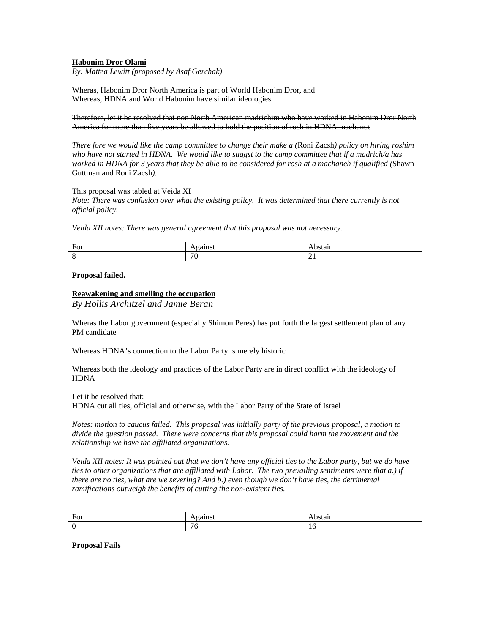## **Habonim Dror Olami**

*By: Mattea Lewitt (proposed by Asaf Gerchak)* 

Wheras, Habonim Dror North America is part of World Habonim Dror, and Whereas, HDNA and World Habonim have similar ideologies.

#### Therefore, let it be resolved that non North American madrichim who have worked in Habonim Dror North America for more than five years be allowed to hold the position of rosh in HDNA machanot

*There fore we would like the camp committee to change their make a (*Roni Zacsh*) policy on hiring roshim who have not started in HDNA. We would like to suggst to the camp committee that if a madrich/a has worked in HDNA for 3 years that they be able to be considered for rosh at a machaneh if qualified (*Shawn Guttman and Roni Zacsh*).* 

#### This proposal was tabled at Veida XI

*Note: There was confusion over what the existing policy. It was determined that there currently is not official policy.* 

*Veida XII notes: There was general agreement that this proposal was not necessary.* 

| For | . .         |                |
|-----|-------------|----------------|
|     | $\pi$<br>Ί. | $\overline{ }$ |

#### **Proposal failed.**

## **Reawakening and smelling the occupation**

*By Hollis Architzel and Jamie Beran* 

Wheras the Labor government (especially Shimon Peres) has put forth the largest settlement plan of any PM candidate

Whereas HDNA's connection to the Labor Party is merely historic

Whereas both the ideology and practices of the Labor Party are in direct conflict with the ideology of **HDNA** 

Let it be resolved that: HDNA cut all ties, official and otherwise, with the Labor Party of the State of Israel

*Notes: motion to caucus failed. This proposal was initially party of the previous proposal, a motion to divide the question passed. There were concerns that this proposal could harm the movement and the relationship we have the affiliated organizations.* 

*Veida XII notes: It was pointed out that we don't have any official ties to the Labor party, but we do have ties to other organizations that are affiliated with Labor. The two prevailing sentiments were that a.) if there are no ties, what are we severing? And b.) even though we don't have ties, the detrimental ramifications outweigh the benefits of cutting the non-existent ties.* 

| Ē<br>$E_0r$<br>T OT | --- --<br>. . | -an.    |
|---------------------|---------------|---------|
|                     | -<br>л.       | . L . L |

**Proposal Fails**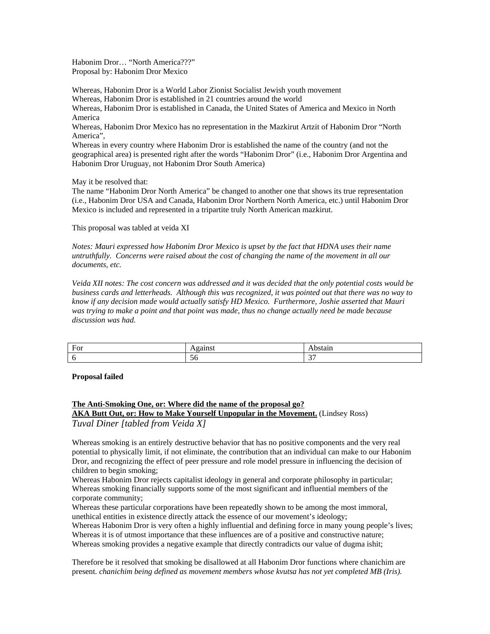Habonim Dror… "North America???" Proposal by: Habonim Dror Mexico

Whereas, Habonim Dror is a World Labor Zionist Socialist Jewish youth movement Whereas, Habonim Dror is established in 21 countries around the world Whereas, Habonim Dror is established in Canada, the United States of America and Mexico in North America Whereas, Habonim Dror Mexico has no representation in the Mazkirut Artzit of Habonim Dror "North

America",

Whereas in every country where Habonim Dror is established the name of the country (and not the geographical area) is presented right after the words "Habonim Dror" (i.e., Habonim Dror Argentina and Habonim Dror Uruguay, not Habonim Dror South America)

May it be resolved that:

The name "Habonim Dror North America" be changed to another one that shows its true representation (i.e., Habonim Dror USA and Canada, Habonim Dror Northern North America, etc.) until Habonim Dror Mexico is included and represented in a tripartite truly North American mazkirut.

This proposal was tabled at veida XI

*Notes: Mauri expressed how Habonim Dror Mexico is upset by the fact that HDNA uses their name untruthfully. Concerns were raised about the cost of changing the name of the movement in all our documents, etc.* 

*Veida XII notes: The cost concern was addressed and it was decided that the only potential costs would be business cards and letterheads. Although this was recognized, it was pointed out that there was no way to know if any decision made would actually satisfy HD Mexico. Furthermore, Joshie asserted that Mauri was trying to make a point and that point was made, thus no change actually need be made because discussion was had.* 

| $\mathbf{r}$<br>$\cdots$<br>₩ | .  |        |
|-------------------------------|----|--------|
|                               | ЭO | $\sim$ |

**Proposal failed** 

# **The Anti-Smoking One, or: Where did the name of the proposal go? AKA Butt Out, or: How to Make Yourself Unpopular in the Movement.** (Lindsey Ross) *Tuval Diner [tabled from Veida X]*

Whereas smoking is an entirely destructive behavior that has no positive components and the very real potential to physically limit, if not eliminate, the contribution that an individual can make to our Habonim Dror, and recognizing the effect of peer pressure and role model pressure in influencing the decision of children to begin smoking;

Whereas Habonim Dror rejects capitalist ideology in general and corporate philosophy in particular; Whereas smoking financially supports some of the most significant and influential members of the corporate community;

Whereas these particular corporations have been repeatedly shown to be among the most immoral, unethical entities in existence directly attack the essence of our movement's ideology;

Whereas Habonim Dror is very often a highly influential and defining force in many young people's lives; Whereas it is of utmost importance that these influences are of a positive and constructive nature; Whereas smoking provides a negative example that directly contradicts our value of dugma ishit;

Therefore be it resolved that smoking be disallowed at all Habonim Dror functions where chanichim are present. *chanichim being defined as movement members whose kvutsa has not yet completed MB (Iris).*